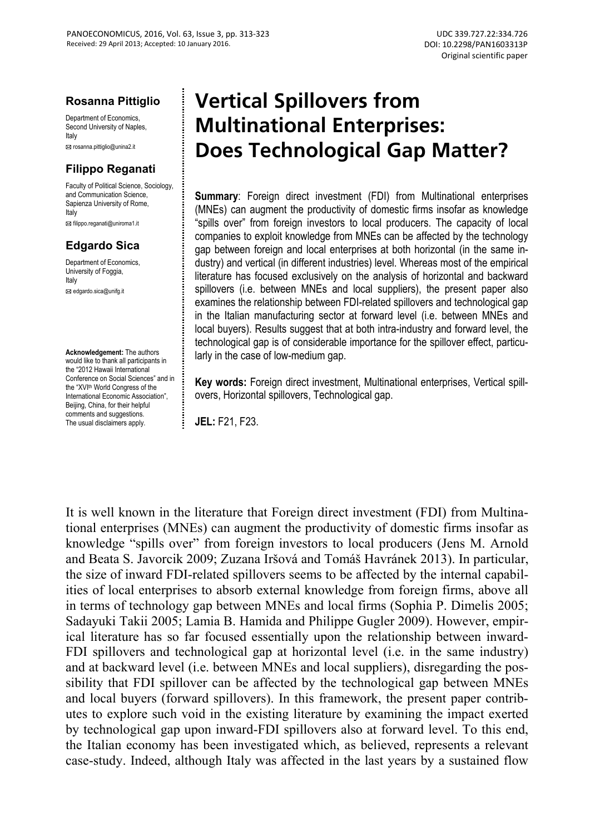#### **Rosanna Pittiglio**

Department of Economics Second University of Naples, Italy

rosanna.pittiglio@unina2.it

### **Filippo Reganati**

Faculty of Political Science, Sociology, and Communication Science, Sapienza University of Rome, Italy

For filippo.reganati@uniroma1.it

### **Edgardo Sica**

Department of Economics University of Foggia, Italy

**Ed** edgardo.sica@unifg.it

**Acknowledgement:** The authors would like to thank all participants in the "2012 Hawaii International Conference on Social Sciences" and in the "XVI<sup>th</sup> World Congress of the International Economic Association", Beijing, China, for their helpful comments and suggestions. The usual disclaimers apply.

# **Vertical Spillovers from Multinational Enterprises: Does Technological Gap Matter?**

**Summary:** Foreign direct investment (FDI) from Multinational enterprises (MNEs) can augment the productivity of domestic firms insofar as knowledge "spills over" from foreign investors to local producers. The capacity of local companies to exploit knowledge from MNEs can be affected by the technology gap between foreign and local enterprises at both horizontal (in the same industry) and vertical (in different industries) level. Whereas most of the empirical literature has focused exclusively on the analysis of horizontal and backward spillovers (i.e. between MNEs and local suppliers), the present paper also examines the relationship between FDI-related spillovers and technological gap in the Italian manufacturing sector at forward level (i.e. between MNEs and local buyers). Results suggest that at both intra-industry and forward level, the technological gap is of considerable importance for the spillover effect, particularly in the case of low-medium gap.

**Key words:** Foreign direct investment, Multinational enterprises, Vertical spillovers, Horizontal spillovers, Technological gap.

**JEL:** F21, F23.

It is well known in the literature that Foreign direct investment (FDI) from Multinational enterprises (MNEs) can augment the productivity of domestic firms insofar as knowledge "spills over" from foreign investors to local producers (Jens M. Arnold and Beata S. Javorcik 2009; Zuzana Iršová and Tomáš Havránek 2013). In particular, the size of inward FDI-related spillovers seems to be affected by the internal capabilities of local enterprises to absorb external knowledge from foreign firms, above all in terms of technology gap between MNEs and local firms (Sophia P. Dimelis 2005; Sadayuki Takii 2005; Lamia B. Hamida and Philippe Gugler 2009). However, empirical literature has so far focused essentially upon the relationship between inward-FDI spillovers and technological gap at horizontal level (i.e. in the same industry) and at backward level (i.e. between MNEs and local suppliers), disregarding the possibility that FDI spillover can be affected by the technological gap between MNEs and local buyers (forward spillovers). In this framework, the present paper contributes to explore such void in the existing literature by examining the impact exerted by technological gap upon inward-FDI spillovers also at forward level. To this end, the Italian economy has been investigated which, as believed, represents a relevant case-study. Indeed, although Italy was affected in the last years by a sustained flow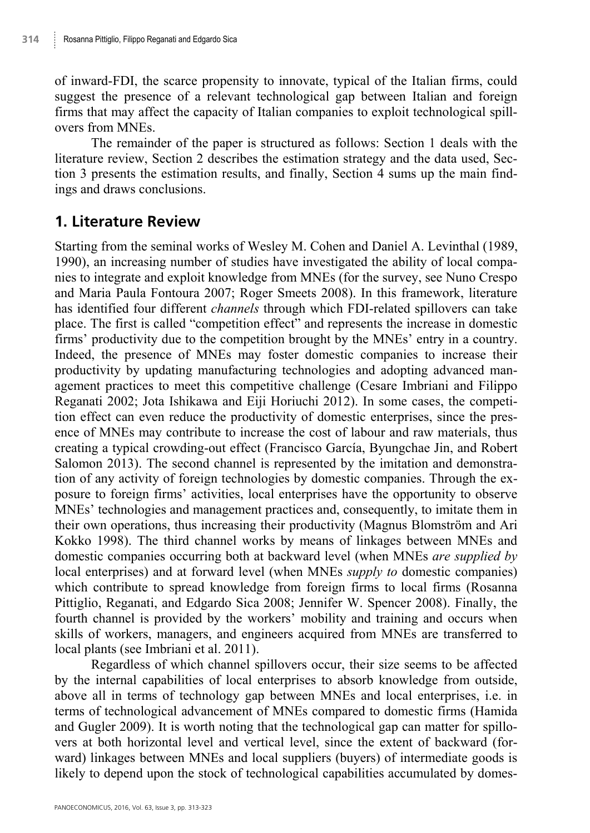of inward-FDI, the scarce propensity to innovate, typical of the Italian firms, could suggest the presence of a relevant technological gap between Italian and foreign firms that may affect the capacity of Italian companies to exploit technological spillovers from MNEs.

The remainder of the paper is structured as follows: Section 1 deals with the literature review, Section 2 describes the estimation strategy and the data used, Section 3 presents the estimation results, and finally, Section 4 sums up the main findings and draws conclusions.

# **1. Literature Review**

Starting from the seminal works of Wesley M. Cohen and Daniel A. Levinthal (1989, 1990), an increasing number of studies have investigated the ability of local companies to integrate and exploit knowledge from MNEs (for the survey, see Nuno Crespo and Maria Paula Fontoura 2007; Roger Smeets 2008). In this framework, literature has identified four different *channels* through which FDI-related spillovers can take place. The first is called "competition effect" and represents the increase in domestic firms' productivity due to the competition brought by the MNEs' entry in a country. Indeed, the presence of MNEs may foster domestic companies to increase their productivity by updating manufacturing technologies and adopting advanced management practices to meet this competitive challenge (Cesare Imbriani and Filippo Reganati 2002; Jota Ishikawa and Eiji Horiuchi 2012). In some cases, the competition effect can even reduce the productivity of domestic enterprises, since the presence of MNEs may contribute to increase the cost of labour and raw materials, thus creating a typical crowding-out effect (Francisco García, Byungchae Jin, and Robert Salomon 2013). The second channel is represented by the imitation and demonstration of any activity of foreign technologies by domestic companies. Through the exposure to foreign firms' activities, local enterprises have the opportunity to observe MNEs' technologies and management practices and, consequently, to imitate them in their own operations, thus increasing their productivity (Magnus Blomström and Ari Kokko 1998). The third channel works by means of linkages between MNEs and domestic companies occurring both at backward level (when MNEs *are supplied by* local enterprises) and at forward level (when MNEs *supply to* domestic companies) which contribute to spread knowledge from foreign firms to local firms (Rosanna Pittiglio, Reganati, and Edgardo Sica 2008; Jennifer W. Spencer 2008). Finally, the fourth channel is provided by the workers' mobility and training and occurs when skills of workers, managers, and engineers acquired from MNEs are transferred to local plants (see Imbriani et al. 2011).

Regardless of which channel spillovers occur, their size seems to be affected by the internal capabilities of local enterprises to absorb knowledge from outside, above all in terms of technology gap between MNEs and local enterprises, i.e. in terms of technological advancement of MNEs compared to domestic firms (Hamida and Gugler 2009). It is worth noting that the technological gap can matter for spillovers at both horizontal level and vertical level, since the extent of backward (forward) linkages between MNEs and local suppliers (buyers) of intermediate goods is likely to depend upon the stock of technological capabilities accumulated by domes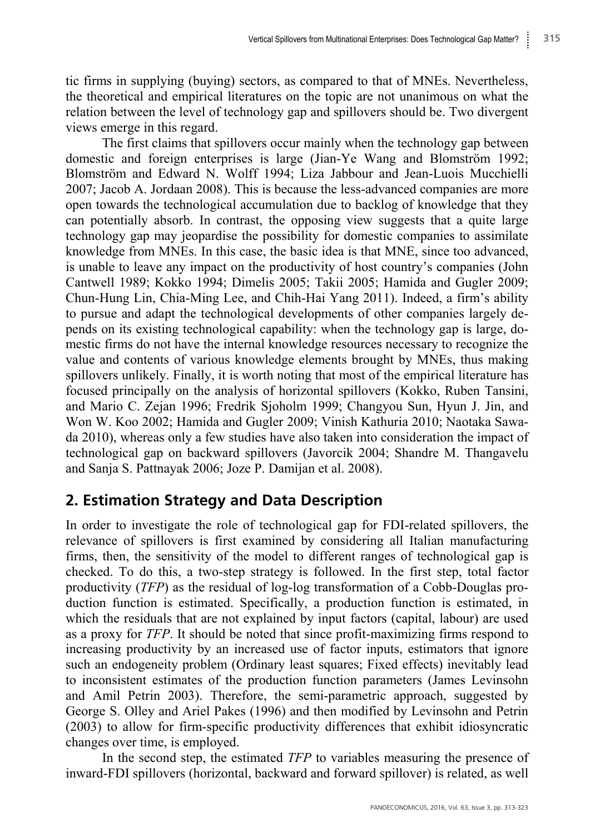tic firms in supplying (buying) sectors, as compared to that of MNEs. Nevertheless, the theoretical and empirical literatures on the topic are not unanimous on what the relation between the level of technology gap and spillovers should be. Two divergent views emerge in this regard.

The first claims that spillovers occur mainly when the technology gap between domestic and foreign enterprises is large (Jian-Ye Wang and Blomström 1992; Blomström and Edward N. Wolff 1994; Liza Jabbour and Jean-Luois Mucchielli 2007; Jacob A. Jordaan 2008). This is because the less-advanced companies are more open towards the technological accumulation due to backlog of knowledge that they can potentially absorb. In contrast, the opposing view suggests that a quite large technology gap may jeopardise the possibility for domestic companies to assimilate knowledge from MNEs. In this case, the basic idea is that MNE, since too advanced, is unable to leave any impact on the productivity of host country's companies (John Cantwell 1989; Kokko 1994; Dimelis 2005; Takii 2005; Hamida and Gugler 2009; Chun-Hung Lin, Chia-Ming Lee, and Chih-Hai Yang 2011). Indeed, a firm's ability to pursue and adapt the technological developments of other companies largely depends on its existing technological capability: when the technology gap is large, domestic firms do not have the internal knowledge resources necessary to recognize the value and contents of various knowledge elements brought by MNEs, thus making spillovers unlikely. Finally, it is worth noting that most of the empirical literature has focused principally on the analysis of horizontal spillovers (Kokko, Ruben Tansini, and Mario C. Zejan 1996; Fredrik Sjoholm 1999; Changyou Sun, Hyun J. Jin, and Won W. Koo 2002; Hamida and Gugler 2009; Vinish Kathuria 2010; Naotaka Sawada 2010), whereas only a few studies have also taken into consideration the impact of technological gap on backward spillovers (Javorcik 2004; Shandre M. Thangavelu and Sanja S. Pattnayak 2006; Joze P. Damijan et al. 2008).

# **2. Estimation Strategy and Data Description**

In order to investigate the role of technological gap for FDI-related spillovers, the relevance of spillovers is first examined by considering all Italian manufacturing firms, then, the sensitivity of the model to different ranges of technological gap is checked. To do this, a two-step strategy is followed. In the first step, total factor productivity (*TFP*) as the residual of log-log transformation of a Cobb-Douglas production function is estimated. Specifically, a production function is estimated, in which the residuals that are not explained by input factors (capital, labour) are used as a proxy for *TFP*. It should be noted that since profit-maximizing firms respond to increasing productivity by an increased use of factor inputs, estimators that ignore such an endogeneity problem (Ordinary least squares; Fixed effects) inevitably lead to inconsistent estimates of the production function parameters (James Levinsohn and Amil Petrin 2003). Therefore, the semi-parametric approach, suggested by George S. Olley and Ariel Pakes (1996) and then modified by Levinsohn and Petrin (2003) to allow for firm-specific productivity differences that exhibit idiosyncratic changes over time, is employed.

In the second step, the estimated *TFP* to variables measuring the presence of inward-FDI spillovers (horizontal, backward and forward spillover) is related, as well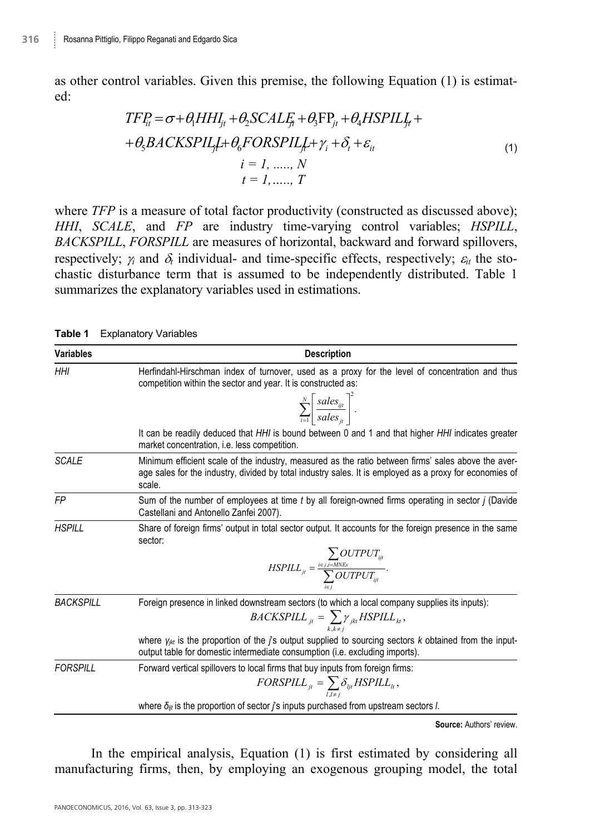as other control variables. Given this premise, the following Equation (1) is estimated:

$$
TF_{ii} = \sigma + \theta_1 HH_{ji} + \theta_2 SCALF_i + \theta_3 FP_{ji} + \theta_4 HSPILJ_i +
$$
  
+  $\theta_5 BACKSPILf_i + \theta_6 FORSPILf_i + \gamma_i + \delta_i + \varepsilon_{ii}$   
 $i = 1, ..., N$   
 $t = 1, ..., T$  (1)

where *TFP* is a measure of total factor productivity (constructed as discussed above); *HHI*, *SCALE*, and *FP* are industry time-varying control variables; *HSPILL*, *BACKSPILL*, *FORSPILL* are measures of horizontal, backward and forward spillovers, respectively;  $\gamma_i$  and  $\delta_i$  individual- and time-specific effects, respectively;  $\varepsilon_i$  the stochastic disturbance term that is assumed to be independently distributed. Table 1 summarizes the explanatory variables used in estimations.

| Variables        | <b>Description</b>                                                                                                                                                                                                       |  |  |  |
|------------------|--------------------------------------------------------------------------------------------------------------------------------------------------------------------------------------------------------------------------|--|--|--|
| HHI              | Herfindahl-Hirschman index of turnover, used as a proxy for the level of concentration and thus<br>competition within the sector and year. It is constructed as:                                                         |  |  |  |
|                  | $\sum_{i=1}^N \left[ \frac{sales_{ijt}}{sales_{ii}} \right]^2.$                                                                                                                                                          |  |  |  |
|                  | It can be readily deduced that HHI is bound between 0 and 1 and that higher HHI indicates greater<br>market concentration, i.e. less competition.                                                                        |  |  |  |
| <b>SCALE</b>     | Minimum efficient scale of the industry, measured as the ratio between firms' sales above the aver-<br>age sales for the industry, divided by total industry sales. It is employed as a proxy for economies of<br>scale. |  |  |  |
| <b>FP</b>        | Sum of the number of employees at time t by all foreign-owned firms operating in sector j (Davide<br>Castellani and Antonello Zanfei 2007).                                                                              |  |  |  |
| <b>HSPILL</b>    | Share of foreign firms' output in total sector output. It accounts for the foreign presence in the same<br>sector:                                                                                                       |  |  |  |
|                  | $\label{eq:nsplll} HSPILL_{ji} = \frac{\underset{i \in j, i = MNEs}{\sum} OUTPUT_{iji}}{\sum}$                                                                                                                           |  |  |  |
| <b>BACKSPILL</b> | Foreign presence in linked downstream sectors (to which a local company supplies its inputs):                                                                                                                            |  |  |  |
|                  | $BACKSPILL_{jt} = \sum_{k,k,t} \gamma_{jkt} HSPILL_{kt}$ ,                                                                                                                                                               |  |  |  |
|                  | where $y_{jkt}$ is the proportion of the $j$ 's output supplied to sourcing sectors $k$ obtained from the input-<br>output table for domestic intermediate consumption (i.e. excluding imports).                         |  |  |  |
| <b>FORSPILL</b>  | Forward vertical spillovers to local firms that buy inputs from foreign firms:                                                                                                                                           |  |  |  |
|                  | $FORSPILL_{jt} = \sum_{i} \delta_{ijt} HSPILL_{lt},$                                                                                                                                                                     |  |  |  |
|                  | where $\delta_{ijt}$ is the proportion of sector j's inputs purchased from upstream sectors l.                                                                                                                           |  |  |  |

**Source:** Authors' review.

In the empirical analysis, Equation (1) is first estimated by considering all manufacturing firms, then, by employing an exogenous grouping model, the total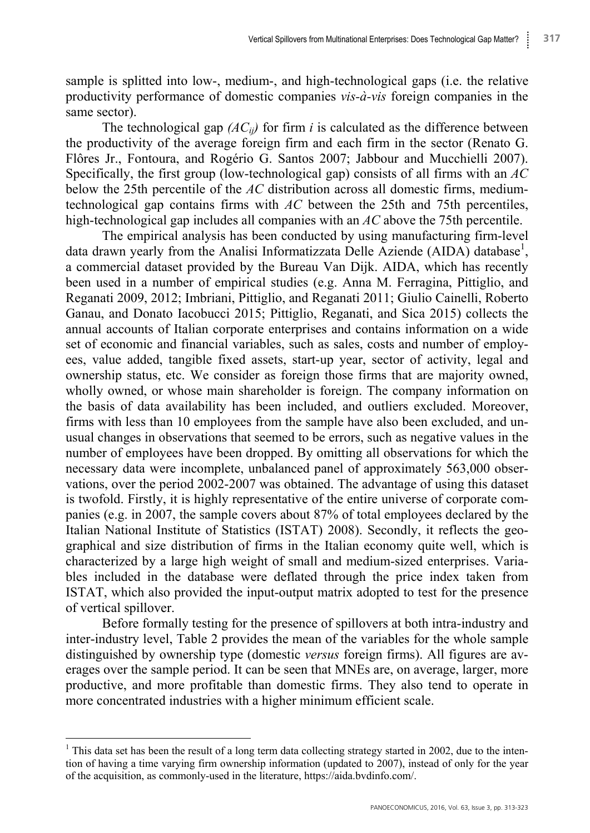sample is splitted into low-, medium-, and high-technological gaps (i.e. the relative productivity performance of domestic companies *vis-à-vis* foreign companies in the same sector).

The technological gap  $(AC_{ii})$  for firm *i* is calculated as the difference between the productivity of the average foreign firm and each firm in the sector (Renato G. Flôres Jr., Fontoura, and Rogério G. Santos 2007; Jabbour and Mucchielli 2007). Specifically, the first group (low-technological gap) consists of all firms with an *AC*  below the 25th percentile of the *AC* distribution across all domestic firms, mediumtechnological gap contains firms with *AC* between the 25th and 75th percentiles, high-technological gap includes all companies with an *AC* above the 75th percentile.

The empirical analysis has been conducted by using manufacturing firm-level data drawn yearly from the Analisi Informatizzata Delle Aziende (AIDA) database<sup>1</sup>, a commercial dataset provided by the Bureau Van Dijk. AIDA, which has recently been used in a number of empirical studies (e.g. Anna M. Ferragina, Pittiglio, and Reganati 2009, 2012; Imbriani, Pittiglio, and Reganati 2011; Giulio Cainelli, Roberto Ganau, and Donato Iacobucci 2015; Pittiglio, Reganati, and Sica 2015) collects the annual accounts of Italian corporate enterprises and contains information on a wide set of economic and financial variables, such as sales, costs and number of employees, value added, tangible fixed assets, start-up year, sector of activity, legal and ownership status, etc. We consider as foreign those firms that are majority owned, wholly owned, or whose main shareholder is foreign. The company information on the basis of data availability has been included, and outliers excluded. Moreover, firms with less than 10 employees from the sample have also been excluded, and unusual changes in observations that seemed to be errors, such as negative values in the number of employees have been dropped. By omitting all observations for which the necessary data were incomplete, unbalanced panel of approximately 563,000 observations, over the period 2002-2007 was obtained. The advantage of using this dataset is twofold. Firstly, it is highly representative of the entire universe of corporate companies (e.g. in 2007, the sample covers about 87% of total employees declared by the Italian National Institute of Statistics (ISTAT) 2008). Secondly, it reflects the geographical and size distribution of firms in the Italian economy quite well, which is characterized by a large high weight of small and medium-sized enterprises. Variables included in the database were deflated through the price index taken from ISTAT, which also provided the input-output matrix adopted to test for the presence of vertical spillover.

Before formally testing for the presence of spillovers at both intra-industry and inter-industry level, Table 2 provides the mean of the variables for the whole sample distinguished by ownership type (domestic *versus* foreign firms). All figures are averages over the sample period. It can be seen that MNEs are, on average, larger, more productive, and more profitable than domestic firms. They also tend to operate in more concentrated industries with a higher minimum efficient scale.

 $\overline{a}$ 

<sup>&</sup>lt;sup>1</sup> This data set has been the result of a long term data collecting strategy started in 2002, due to the intention of having a time varying firm ownership information (updated to 2007), instead of only for the year of the acquisition, as commonly-used in the literature, https://aida.bvdinfo.com/.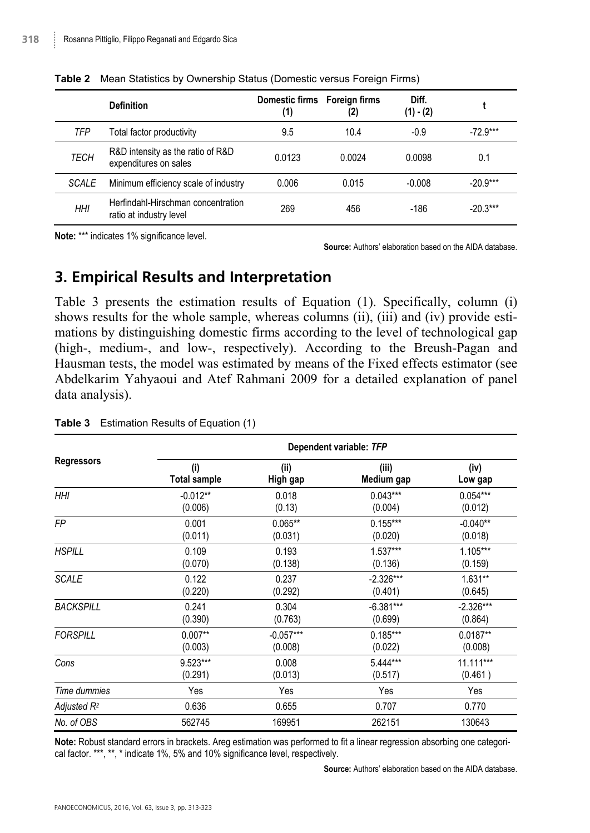|             | <b>Definition</b>                                             | Domestic firms Foreign firms<br>(1) | (2)    | Diff.<br>$(1) - (2)$ |            |
|-------------|---------------------------------------------------------------|-------------------------------------|--------|----------------------|------------|
| TFP         | Total factor productivity                                     | 9.5                                 | 10.4   | $-0.9$               | $-72.9***$ |
| <b>TECH</b> | R&D intensity as the ratio of R&D<br>expenditures on sales    | 0.0123                              | 0.0024 | 0.0098               | 0.1        |
| SCALE       | Minimum efficiency scale of industry                          | 0.006                               | 0.015  | $-0.008$             | $-20.9***$ |
| <b>HHI</b>  | Herfindahl-Hirschman concentration<br>ratio at industry level | 269                                 | 456    | $-186$               | $-20.3***$ |

**Table 2** Mean Statistics by Ownership Status (Domestic versus Foreign Firms)

**Note:** \*\*\* indicates 1% significance level.

**Source:** Authors' elaboration based on the AIDA database.

### **3. Empirical Results and Interpretation**

Table 3 presents the estimation results of Equation (1). Specifically, column (i) shows results for the whole sample, whereas columns (ii), (iii) and (iv) provide estimations by distinguishing domestic firms according to the level of technological gap (high-, medium-, and low-, respectively). According to the Breush-Pagan and Hausman tests, the model was estimated by means of the Fixed effects estimator (see Abdelkarim Yahyaoui and Atef Rahmani 2009 for a detailed explanation of panel data analysis).

|                         | Dependent variable: TFP |             |             |             |  |  |
|-------------------------|-------------------------|-------------|-------------|-------------|--|--|
| <b>Regressors</b>       | (i)                     | (ii)        | (iii)       | (iv)        |  |  |
|                         | <b>Total sample</b>     | High gap    | Medium gap  | Low gap     |  |  |
| <b>HHI</b>              | $-0.012**$              | 0.018       | $0.043***$  | $0.054***$  |  |  |
|                         | (0.006)                 | (0.13)      | (0.004)     | (0.012)     |  |  |
| <b>FP</b>               | 0.001                   | $0.065**$   | $0.155***$  | $-0.040**$  |  |  |
|                         | (0.011)                 | (0.031)     | (0.020)     | (0.018)     |  |  |
| <b>HSPILL</b>           | 0.109                   | 0.193       | $1.537***$  | 1.105***    |  |  |
|                         | (0.070)                 | (0.138)     | (0.136)     | (0.159)     |  |  |
| <b>SCALE</b>            | 0.122                   | 0.237       | $-2.326***$ | $1.631**$   |  |  |
|                         | (0.220)                 | (0.292)     | (0.401)     | (0.645)     |  |  |
| <b>BACKSPILL</b>        | 0.241                   | 0.304       | $-6.381***$ | $-2.326***$ |  |  |
|                         | (0.390)                 | (0.763)     | (0.699)     | (0.864)     |  |  |
| <b>FORSPILL</b>         | $0.007**$               | $-0.057***$ | $0.185***$  | $0.0187**$  |  |  |
|                         | (0.003)                 | (0.008)     | (0.022)     | (0.008)     |  |  |
| Cons                    | 9.523***                | 0.008       | 5.444***    | 11.111***   |  |  |
|                         | (0.291)                 | (0.013)     | (0.517)     | (0.461)     |  |  |
| Time dummies            | Yes                     | Yes         | Yes         | Yes         |  |  |
| Adjusted R <sup>2</sup> | 0.636                   | 0.655       | 0.707       | 0.770       |  |  |
| No. of OBS              | 562745                  | 169951      | 262151      | 130643      |  |  |

#### **Table 3** Estimation Results of Equation (1)

**Note:** Robust standard errors in brackets. Areg estimation was performed to fit a linear regression absorbing one categorical factor. \*\*\*, \*\*, \* indicate 1%, 5% and 10% significance level, respectively.

**Source:** Authors' elaboration based on the AIDA database.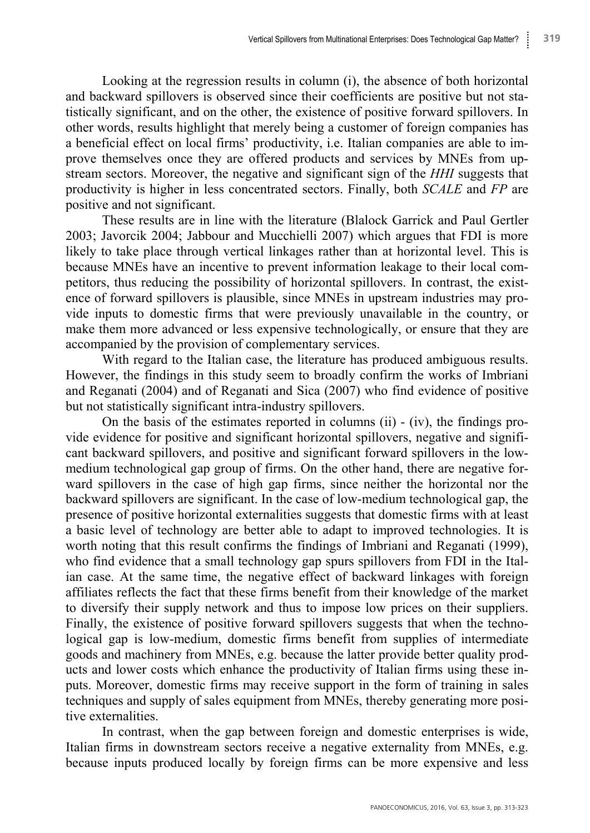Looking at the regression results in column (i), the absence of both horizontal and backward spillovers is observed since their coefficients are positive but not statistically significant, and on the other, the existence of positive forward spillovers. In other words, results highlight that merely being a customer of foreign companies has a beneficial effect on local firms' productivity, i.e. Italian companies are able to improve themselves once they are offered products and services by MNEs from upstream sectors. Moreover, the negative and significant sign of the *HHI* suggests that productivity is higher in less concentrated sectors. Finally, both *SCALE* and *FP* are positive and not significant.

These results are in line with the literature (Blalock Garrick and Paul Gertler 2003; Javorcik 2004; Jabbour and Mucchielli 2007) which argues that FDI is more likely to take place through vertical linkages rather than at horizontal level. This is because MNEs have an incentive to prevent information leakage to their local competitors, thus reducing the possibility of horizontal spillovers. In contrast, the existence of forward spillovers is plausible, since MNEs in upstream industries may provide inputs to domestic firms that were previously unavailable in the country, or make them more advanced or less expensive technologically, or ensure that they are accompanied by the provision of complementary services.

With regard to the Italian case, the literature has produced ambiguous results. However, the findings in this study seem to broadly confirm the works of Imbriani and Reganati (2004) and of Reganati and Sica (2007) who find evidence of positive but not statistically significant intra-industry spillovers.

On the basis of the estimates reported in columns (ii) - (iv), the findings provide evidence for positive and significant horizontal spillovers, negative and significant backward spillovers, and positive and significant forward spillovers in the lowmedium technological gap group of firms. On the other hand, there are negative forward spillovers in the case of high gap firms, since neither the horizontal nor the backward spillovers are significant. In the case of low-medium technological gap, the presence of positive horizontal externalities suggests that domestic firms with at least a basic level of technology are better able to adapt to improved technologies. It is worth noting that this result confirms the findings of Imbriani and Reganati (1999), who find evidence that a small technology gap spurs spillovers from FDI in the Italian case. At the same time, the negative effect of backward linkages with foreign affiliates reflects the fact that these firms benefit from their knowledge of the market to diversify their supply network and thus to impose low prices on their suppliers. Finally, the existence of positive forward spillovers suggests that when the technological gap is low-medium, domestic firms benefit from supplies of intermediate goods and machinery from MNEs, e.g. because the latter provide better quality products and lower costs which enhance the productivity of Italian firms using these inputs. Moreover, domestic firms may receive support in the form of training in sales techniques and supply of sales equipment from MNEs, thereby generating more positive externalities.

In contrast, when the gap between foreign and domestic enterprises is wide, Italian firms in downstream sectors receive a negative externality from MNEs, e.g. because inputs produced locally by foreign firms can be more expensive and less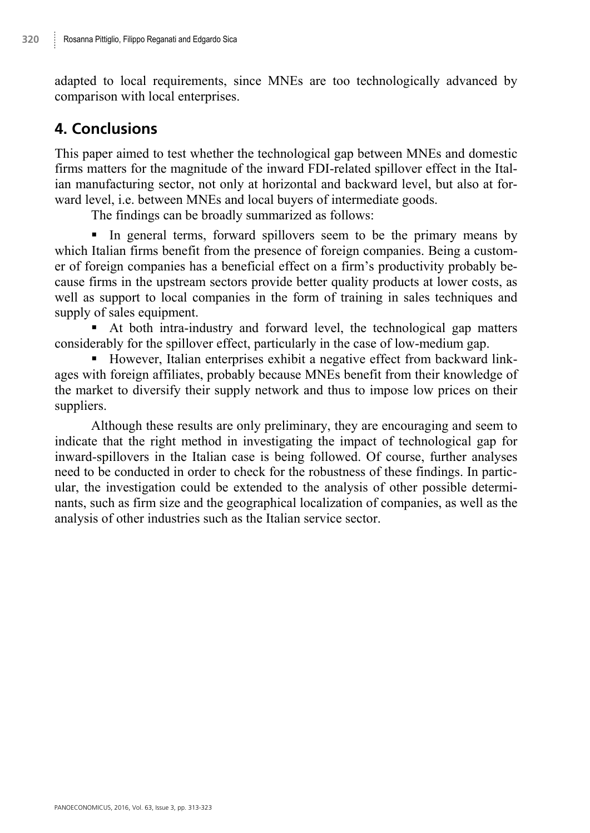adapted to local requirements, since MNEs are too technologically advanced by comparison with local enterprises.

# **4. Conclusions**

This paper aimed to test whether the technological gap between MNEs and domestic firms matters for the magnitude of the inward FDI-related spillover effect in the Italian manufacturing sector, not only at horizontal and backward level, but also at forward level, i.e. between MNEs and local buyers of intermediate goods.

The findings can be broadly summarized as follows:

In general terms, forward spillovers seem to be the primary means by which Italian firms benefit from the presence of foreign companies. Being a customer of foreign companies has a beneficial effect on a firm's productivity probably because firms in the upstream sectors provide better quality products at lower costs, as well as support to local companies in the form of training in sales techniques and supply of sales equipment.

 At both intra-industry and forward level, the technological gap matters considerably for the spillover effect, particularly in the case of low-medium gap.

 However, Italian enterprises exhibit a negative effect from backward linkages with foreign affiliates, probably because MNEs benefit from their knowledge of the market to diversify their supply network and thus to impose low prices on their suppliers.

Although these results are only preliminary, they are encouraging and seem to indicate that the right method in investigating the impact of technological gap for inward-spillovers in the Italian case is being followed. Of course, further analyses need to be conducted in order to check for the robustness of these findings. In particular, the investigation could be extended to the analysis of other possible determinants, such as firm size and the geographical localization of companies, as well as the analysis of other industries such as the Italian service sector.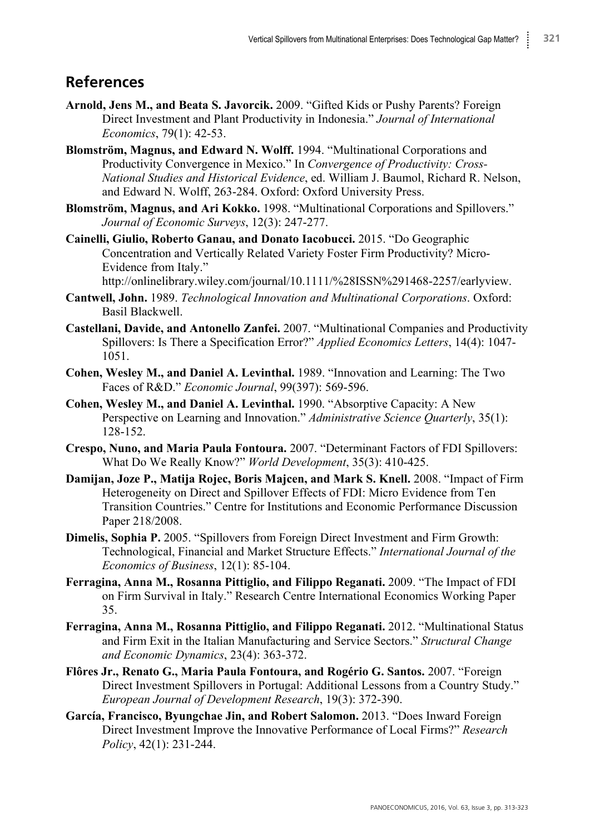## **References**

- **Arnold, Jens M., and Beata S. Javorcik.** 2009. "Gifted Kids or Pushy Parents? Foreign Direct Investment and Plant Productivity in Indonesia." *Journal of International Economics*, 79(1): 42-53.
- **Blomström, Magnus, and Edward N. Wolff.** 1994. "Multinational Corporations and Productivity Convergence in Mexico." In *Convergence of Productivity: Cross-National Studies and Historical Evidence*, ed. William J. Baumol, Richard R. Nelson, and Edward N. Wolff, 263-284. Oxford: Oxford University Press.
- **Blomström, Magnus, and Ari Kokko.** 1998. "Multinational Corporations and Spillovers." *Journal of Economic Surveys*, 12(3): 247-277.
- **Cainelli, Giulio, Roberto Ganau, and Donato Iacobucci.** 2015. "Do Geographic Concentration and Vertically Related Variety Foster Firm Productivity? Micro-Evidence from Italy."

http://onlinelibrary.wiley.com/journal/10.1111/%28ISSN%291468-2257/earlyview.

- **Cantwell, John.** 1989. *Technological Innovation and Multinational Corporations*. Oxford: Basil Blackwell.
- **Castellani, Davide, and Antonello Zanfei.** 2007. "Multinational Companies and Productivity Spillovers: Is There a Specification Error?" *Applied Economics Letters*, 14(4): 1047- 1051.
- **Cohen, Wesley M., and Daniel A. Levinthal.** 1989. "Innovation and Learning: The Two Faces of R&D." *Economic Journal*, 99(397): 569-596.
- **Cohen, Wesley M., and Daniel A. Levinthal.** 1990. "Absorptive Capacity: A New Perspective on Learning and Innovation." *Administrative Science Quarterly*, 35(1): 128-152.
- **Crespo, Nuno, and Maria Paula Fontoura.** 2007. "Determinant Factors of FDI Spillovers: What Do We Really Know?" *World Development*, 35(3): 410-425.
- **Damijan, Joze P., Matija Rojec, Boris Majcen, and Mark S. Knell.** 2008. "Impact of Firm Heterogeneity on Direct and Spillover Effects of FDI: Micro Evidence from Ten Transition Countries." Centre for Institutions and Economic Performance Discussion Paper 218/2008.
- **Dimelis, Sophia P.** 2005. "Spillovers from Foreign Direct Investment and Firm Growth: Technological, Financial and Market Structure Effects." *International Journal of the Economics of Business*, 12(1): 85-104.
- **Ferragina, Anna M., Rosanna Pittiglio, and Filippo Reganati.** 2009. "The Impact of FDI on Firm Survival in Italy." Research Centre International Economics Working Paper 35.
- **Ferragina, Anna M., Rosanna Pittiglio, and Filippo Reganati.** 2012. "Multinational Status and Firm Exit in the Italian Manufacturing and Service Sectors." *Structural Change and Economic Dynamics*, 23(4): 363-372.
- **Flôres Jr., Renato G., Maria Paula Fontoura, and Rogério G. Santos.** 2007. "Foreign Direct Investment Spillovers in Portugal: Additional Lessons from a Country Study." *European Journal of Development Research*, 19(3): 372-390.
- **García, Francisco, Byungchae Jin, and Robert Salomon.** 2013. "Does Inward Foreign Direct Investment Improve the Innovative Performance of Local Firms?" *Research Policy*, 42(1): 231-244.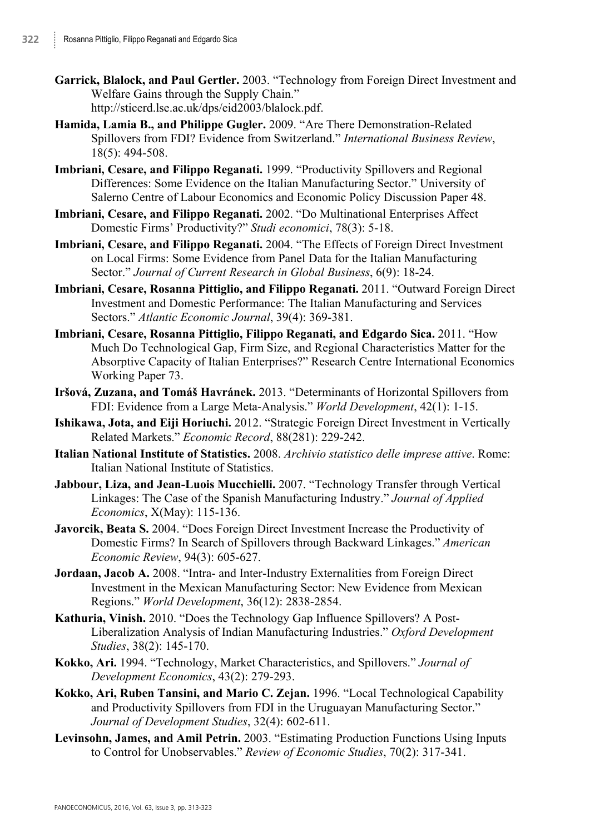- **Garrick, Blalock, and Paul Gertler.** 2003. "Technology from Foreign Direct Investment and Welfare Gains through the Supply Chain." http://sticerd.lse.ac.uk/dps/eid2003/blalock.pdf.
- **Hamida, Lamia B., and Philippe Gugler.** 2009. "Are There Demonstration-Related Spillovers from FDI? Evidence from Switzerland." *International Business Review*, 18(5): 494-508.
- **Imbriani, Cesare, and Filippo Reganati.** 1999. "Productivity Spillovers and Regional Differences: Some Evidence on the Italian Manufacturing Sector." University of Salerno Centre of Labour Economics and Economic Policy Discussion Paper 48.
- **Imbriani, Cesare, and Filippo Reganati.** 2002. "Do Multinational Enterprises Affect Domestic Firms' Productivity?" *Studi economici*, 78(3): 5-18.
- **Imbriani, Cesare, and Filippo Reganati.** 2004. "The Effects of Foreign Direct Investment on Local Firms: Some Evidence from Panel Data for the Italian Manufacturing Sector." *Journal of Current Research in Global Business*, 6(9): 18-24.
- **Imbriani, Cesare, Rosanna Pittiglio, and Filippo Reganati.** 2011. "Outward Foreign Direct Investment and Domestic Performance: The Italian Manufacturing and Services Sectors." *Atlantic Economic Journal*, 39(4): 369-381.
- **Imbriani, Cesare, Rosanna Pittiglio, Filippo Reganati, and Edgardo Sica.** 2011. "How Much Do Technological Gap, Firm Size, and Regional Characteristics Matter for the Absorptive Capacity of Italian Enterprises?" Research Centre International Economics Working Paper 73.
- **Iršová, Zuzana, and Tomáš Havránek.** 2013. "Determinants of Horizontal Spillovers from FDI: Evidence from a Large Meta-Analysis." *World Development*, 42(1): 1-15.
- **Ishikawa, Jota, and Eiji Horiuchi.** 2012. "Strategic Foreign Direct Investment in Vertically Related Markets." *Economic Record*, 88(281): 229-242.
- **Italian National Institute of Statistics.** 2008. *Archivio statistico delle imprese attive*. Rome: Italian National Institute of Statistics.
- **Jabbour, Liza, and Jean-Luois Mucchielli.** 2007. "Technology Transfer through Vertical Linkages: The Case of the Spanish Manufacturing Industry." *Journal of Applied Economics*, X(May): 115-136.
- **Javorcik, Beata S.** 2004. "Does Foreign Direct Investment Increase the Productivity of Domestic Firms? In Search of Spillovers through Backward Linkages." *American Economic Review*, 94(3): 605-627.
- **Jordaan, Jacob A.** 2008. "Intra- and Inter-Industry Externalities from Foreign Direct Investment in the Mexican Manufacturing Sector: New Evidence from Mexican Regions." *World Development*, 36(12): 2838-2854.
- **Kathuria, Vinish.** 2010. "Does the Technology Gap Influence Spillovers? A Post-Liberalization Analysis of Indian Manufacturing Industries." *Oxford Development Studies*, 38(2): 145-170.
- **Kokko, Ari.** 1994. "Technology, Market Characteristics, and Spillovers." *Journal of Development Economics*, 43(2): 279-293.
- **Kokko, Ari, Ruben Tansini, and Mario C. Zejan.** 1996. "Local Technological Capability and Productivity Spillovers from FDI in the Uruguayan Manufacturing Sector." *Journal of Development Studies*, 32(4): 602-611.
- **Levinsohn, James, and Amil Petrin.** 2003. "Estimating Production Functions Using Inputs to Control for Unobservables." *Review of Economic Studies*, 70(2): 317-341.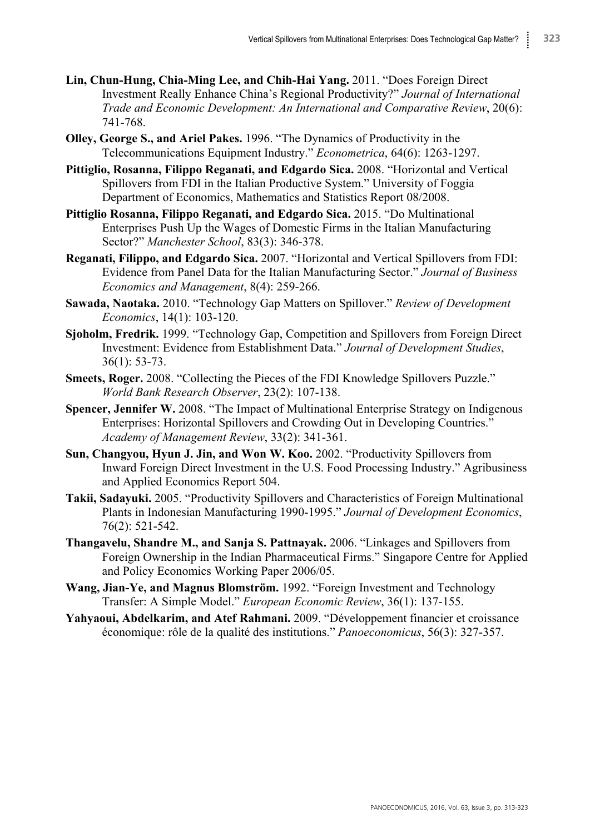- **Lin, Chun-Hung, Chia-Ming Lee, and Chih-Hai Yang.** 2011. "Does Foreign Direct Investment Really Enhance China's Regional Productivity?" *Journal of International Trade and Economic Development: An International and Comparative Review*, 20(6): 741-768.
- **Olley, George S., and Ariel Pakes.** 1996. "The Dynamics of Productivity in the Telecommunications Equipment Industry." *Econometrica*, 64(6): 1263-1297.
- **Pittiglio, Rosanna, Filippo Reganati, and Edgardo Sica.** 2008. "Horizontal and Vertical Spillovers from FDI in the Italian Productive System." University of Foggia Department of Economics, Mathematics and Statistics Report 08/2008.
- **Pittiglio Rosanna, Filippo Reganati, and Edgardo Sica.** 2015. "Do Multinational Enterprises Push Up the Wages of Domestic Firms in the Italian Manufacturing Sector?" *Manchester School*, 83(3): 346-378.
- **Reganati, Filippo, and Edgardo Sica.** 2007. "Horizontal and Vertical Spillovers from FDI: Evidence from Panel Data for the Italian Manufacturing Sector." *Journal of Business Economics and Management*, 8(4): 259-266.
- **Sawada, Naotaka.** 2010. "Technology Gap Matters on Spillover." *Review of Development Economics*, 14(1): 103-120.
- **Sjoholm, Fredrik.** 1999. "Technology Gap, Competition and Spillovers from Foreign Direct Investment: Evidence from Establishment Data." *Journal of Development Studies*, 36(1): 53-73.
- **Smeets, Roger.** 2008. "Collecting the Pieces of the FDI Knowledge Spillovers Puzzle." *World Bank Research Observer*, 23(2): 107-138.
- **Spencer, Jennifer W.** 2008. "The Impact of Multinational Enterprise Strategy on Indigenous Enterprises: Horizontal Spillovers and Crowding Out in Developing Countries." *Academy of Management Review*, 33(2): 341-361.
- **Sun, Changyou, Hyun J. Jin, and Won W. Koo.** 2002. "Productivity Spillovers from Inward Foreign Direct Investment in the U.S. Food Processing Industry." Agribusiness and Applied Economics Report 504.
- **Takii, Sadayuki.** 2005. "Productivity Spillovers and Characteristics of Foreign Multinational Plants in Indonesian Manufacturing 1990-1995." *Journal of Development Economics*, 76(2): 521-542.
- **Thangavelu, Shandre M., and Sanja S. Pattnayak.** 2006. "Linkages and Spillovers from Foreign Ownership in the Indian Pharmaceutical Firms." Singapore Centre for Applied and Policy Economics Working Paper 2006/05.
- **Wang, Jian-Ye, and Magnus Blomström.** 1992. "Foreign Investment and Technology Transfer: A Simple Model." *European Economic Review*, 36(1): 137-155.
- **Yahyaoui, Abdelkarim, and Atef Rahmani.** 2009. "Développement financier et croissance économique: rôle de la qualité des institutions." *Panoeconomicus*, 56(3): 327-357.